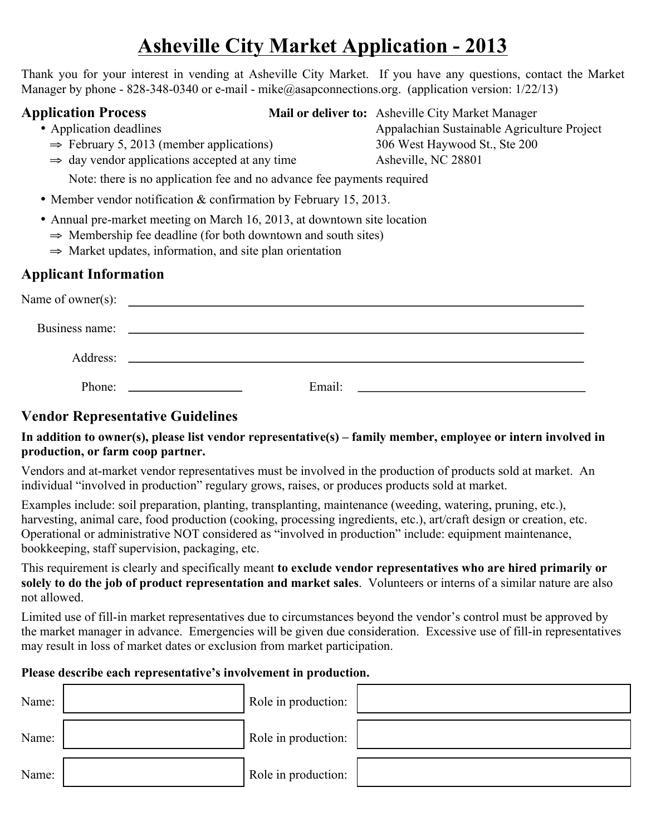# **Asheville City Market Application - 2013**

Thank you for your interest in vending at Asheville City Market. If you have any questions, contact the Market Manager by phone - 828-348-0340 or e-mail - mike@asapconnections.org. (application version: 1/22/13)

**Application Process Mail or deliver to:** Asheville City Market Manager

- 
- $\Rightarrow$  February 5, 2013 (member applications) 306 West Haywood St., Ste 200
- Application deadlines Appalachian Sustainable Agriculture Project  $\Rightarrow$  day vendor applications accepted at any time Asheville, NC 28801

Note: there is no application fee and no advance fee payments required

- Member vendor notification & confirmation by February 15, 2013.
- Annual pre-market meeting on March 16, 2013, at downtown site location
	- $\Rightarrow$  Membership fee deadline (for both downtown and south sites)
	- ⇒ Market updates, information, and site plan orientation

# **Applicant Information**

| Name of owner $(s)$ : | <u> 1980 - Jan Samuel Barbara, martin di sebagai personal di sebagai personal di sebagai personal di sebagai per</u>  |        |  |
|-----------------------|-----------------------------------------------------------------------------------------------------------------------|--------|--|
| Business name:        | <u> 1989 - Johann Harry Harry Harry Harry Harry Harry Harry Harry Harry Harry Harry Harry Harry Harry Harry Harry</u> |        |  |
| Address:              | <u> 1980 - Andrea Andrew Maria (h. 1980).</u>                                                                         |        |  |
| Phone:                |                                                                                                                       | Email: |  |

# **Vendor Representative Guidelines**

#### **In addition to owner(s), please list vendor representative(s) – family member, employee or intern involved in production, or farm coop partner.**

Vendors and at-market vendor representatives must be involved in the production of products sold at market. An individual "involved in production" regulary grows, raises, or produces products sold at market.

Examples include: soil preparation, planting, transplanting, maintenance (weeding, watering, pruning, etc.), harvesting, animal care, food production (cooking, processing ingredients, etc.), art/craft design or creation, etc. Operational or administrative NOT considered as "involved in production" include: equipment maintenance, bookkeeping, staff supervision, packaging, etc.

This requirement is clearly and specifically meant **to exclude vendor representatives who are hired primarily or solely to do the job of product representation and market sales**. Volunteers or interns of a similar nature are also not allowed.

Limited use of fill-in market representatives due to circumstances beyond the vendor's control must be approved by the market manager in advance. Emergencies will be given due consideration. Excessive use of fill-in representatives may result in loss of market dates or exclusion from market participation.

#### **Please describe each representative's involvement in production.**

| Name: | Role in production: |  |
|-------|---------------------|--|
| Name: | Role in production: |  |
| Name: | Role in production: |  |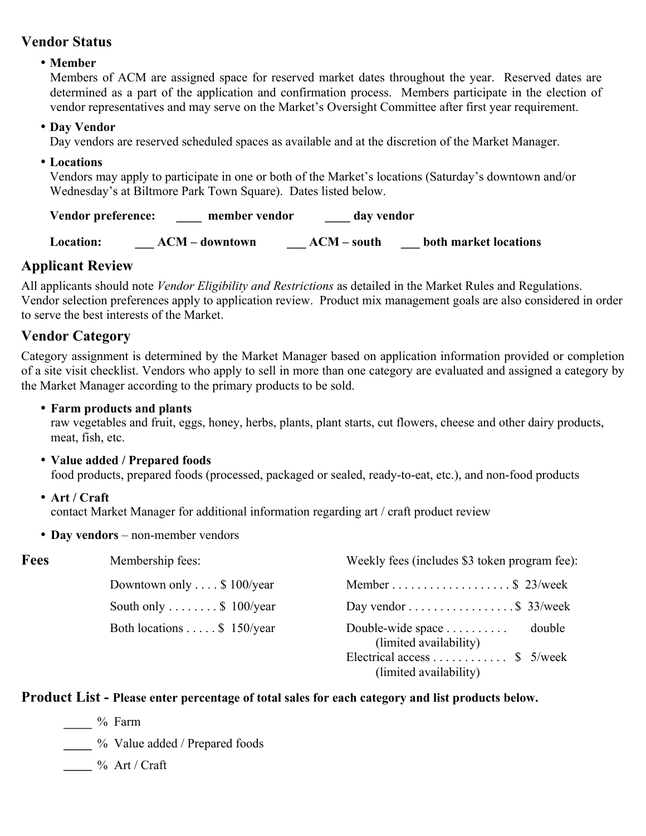#### **Vendor Status**

#### • **Member**

Members of ACM are assigned space for reserved market dates throughout the year. Reserved dates are determined as a part of the application and confirmation process. Members participate in the election of vendor representatives and may serve on the Market's Oversight Committee after first year requirement.

#### • **Day Vendor**

Day vendors are reserved scheduled spaces as available and at the discretion of the Market Manager.

#### • **Locations**

Vendors may apply to participate in one or both of the Market's locations (Saturday's downtown and/or Wednesday's at Biltmore Park Town Square). Dates listed below.

**Vendor preference: \_\_\_\_ member vendor \_\_\_\_ day vendor**

**Location: \_\_\_ ACM – downtown \_\_\_ ACM – south \_\_\_ both market locations**

# **Applicant Review**

All applicants should note *Vendor Eligibility and Restrictions* as detailed in the Market Rules and Regulations. Vendor selection preferences apply to application review. Product mix management goals are also considered in order to serve the best interests of the Market.

# **Vendor Category**

Category assignment is determined by the Market Manager based on application information provided or completion of a site visit checklist. Vendors who apply to sell in more than one category are evaluated and assigned a category by the Market Manager according to the primary products to be sold.

• **Farm products and plants**

raw vegetables and fruit, eggs, honey, herbs, plants, plant starts, cut flowers, cheese and other dairy products, meat, fish, etc.

• **Value added / Prepared foods**

food products, prepared foods (processed, packaged or sealed, ready-to-eat, etc.), and non-food products

• **Art / Craft**

contact Market Manager for additional information regarding art / craft product review

• **Day vendors** – non-member vendors

| Fees | Membership fees:                     | Weekly fees (includes \$3 token program fee):             |
|------|--------------------------------------|-----------------------------------------------------------|
|      | Downtown only $\dots$ \$ 100/year    | Member \$ 23/week                                         |
|      | South only $\dots \dots$ \$ 100/year | Day vendor $\dots \dots \dots \dots \dots$ \$ 33/week     |
|      | Both locations \$ 150/year           | Double-wide space<br>double<br>(limited availability)     |
|      |                                      | Electrical access  \$ $5$ /week<br>(limited availability) |

#### **Product List - Please enter percentage of total sales for each category and list products below.**

% Farm

% Value added / Prepared foods

 $\frac{1}{\sqrt{2}}$ % Art / Craft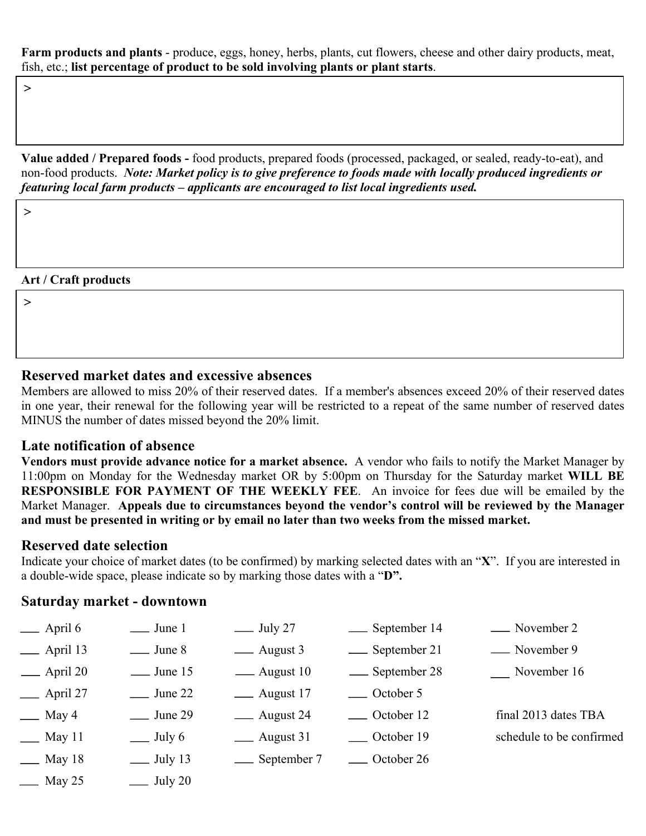**Farm products and plants** - produce, eggs, honey, herbs, plants, cut flowers, cheese and other dairy products, meat, fish, etc.; **list percentage of product to be sold involving plants or plant starts**.

 $\geq$ 

**Value added / Prepared foods -** food products, prepared foods (processed, packaged, or sealed, ready-to-eat), and non-food products. *Note: Market policy is to give preference to foods made with locally produced ingredients or featuring local farm products – applicants are encouraged to list local ingredients used.*

 $\geq$ 

#### **Art / Craft products**

 $\geq$ 

#### **Reserved market dates and excessive absences**

Members are allowed to miss 20% of their reserved dates. If a member's absences exceed 20% of their reserved dates in one year, their renewal for the following year will be restricted to a repeat of the same number of reserved dates MINUS the number of dates missed beyond the 20% limit.

#### **Late notification of absence**

**Vendors must provide advance notice for a market absence.** A vendor who fails to notify the Market Manager by 11:00pm on Monday for the Wednesday market OR by 5:00pm on Thursday for the Saturday market **WILL BE RESPONSIBLE FOR PAYMENT OF THE WEEKLY FEE**. An invoice for fees due will be emailed by the Market Manager. **Appeals due to circumstances beyond the vendor's control will be reviewed by the Manager and must be presented in writing or by email no later than two weeks from the missed market.**

#### **Reserved date selection**

Indicate your choice of market dates (to be confirmed) by marking selected dates with an "**X**". If you are interested in a double-wide space, please indicate so by marking those dates with a "**D".** 

#### **Saturday market - downtown**

| $\equiv$ April 6           | $\frac{1}{2}$ June 1       | $\equiv$ July 27 | __ September 14 | - November 2             |
|----------------------------|----------------------------|------------------|-----------------|--------------------------|
| $\equiv$ April 13          | $\equiv$ June 8            | — August 3       | __ September 21 | - November 9             |
| $\rightharpoonup$ April 20 | $\equiv$ June 15           | — August 10      | __ September 28 | November 16              |
| $\equiv$ April 27          | $\frac{\text{June } 22}{}$ | — August 17      | — October 5     |                          |
| $\equiv$ May 4             | $\equiv$ June 29           | — August 24      | — October 12    | final 2013 dates TBA     |
| $\equiv$ May 11            | $\equiv$ July 6            | ___ August 31    | ___ October 19  | schedule to be confirmed |
| $\equiv$ May 18            | $\equiv$ July 13           | __ September 7   | ___ October 26  |                          |
| $\equiv$ May 25            | $\equiv$ July 20           |                  |                 |                          |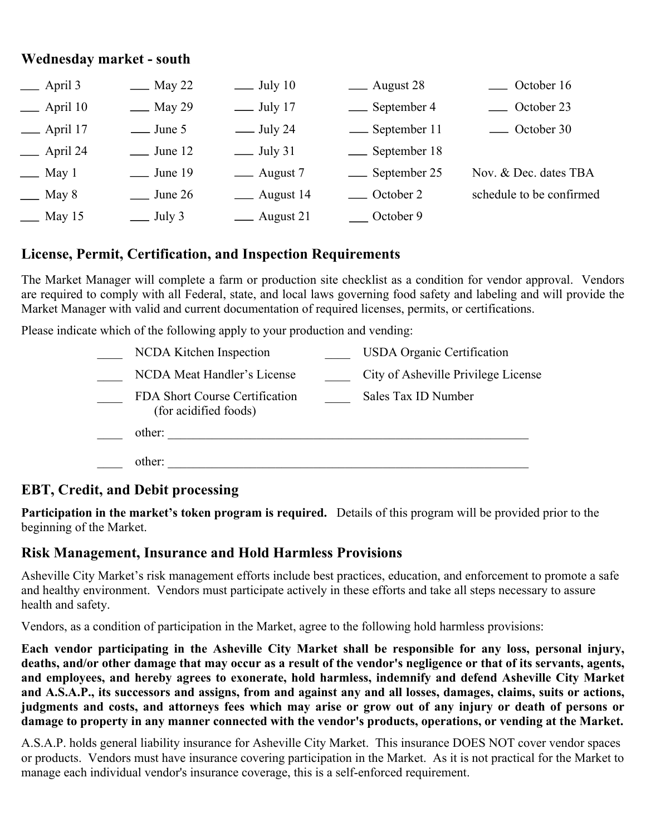#### **Wednesday market - south**

| $\equiv$ April 3              | $\equiv$ May 22  | $\equiv$ July 10                | __ August 28     | ___ October 16           |
|-------------------------------|------------------|---------------------------------|------------------|--------------------------|
| $\equiv$ April 10             | <u>—</u> May 29  | $\equiv$ July 17                | __ September 4   | ____ October 23          |
| $\rule{1em}{0.15mm}$ April 17 | $\equiv$ June 5  | $\frac{\text{July } 24}{\text{$ | -September 11    | — October 30             |
| $\equiv$ April 24             | $\equiv$ June 12 | $\equiv$ July 31                | __ September 18  |                          |
| $\equiv$ May 1                | $\equiv$ June 19 | — August 7                      | __ September 25  | Nov. & Dec. dates TBA    |
| $\equiv$ May 8                | $\equiv$ June 26 | __ August 14                    | — October 2      | schedule to be confirmed |
| $\equiv$ May 15               | $\equiv$ July 3  | ___ August 21                   | $\_\_$ October 9 |                          |

#### **License, Permit, Certification, and Inspection Requirements**

The Market Manager will complete a farm or production site checklist as a condition for vendor approval. Vendors are required to comply with all Federal, state, and local laws governing food safety and labeling and will provide the Market Manager with valid and current documentation of required licenses, permits, or certifications.

Please indicate which of the following apply to your production and vending:

| NCDA Kitchen Inspection                                 | <b>USDA</b> Organic Certification   |
|---------------------------------------------------------|-------------------------------------|
| NCDA Meat Handler's License                             | City of Asheville Privilege License |
| FDA Short Course Certification<br>(for acidified foods) | Sales Tax ID Number                 |
| other:                                                  |                                     |
| other:                                                  |                                     |

# **EBT, Credit, and Debit processing**

**Participation in the market's token program is required.** Details of this program will be provided prior to the beginning of the Market.

#### **Risk Management, Insurance and Hold Harmless Provisions**

Asheville City Market's risk management efforts include best practices, education, and enforcement to promote a safe and healthy environment. Vendors must participate actively in these efforts and take all steps necessary to assure health and safety.

Vendors, as a condition of participation in the Market, agree to the following hold harmless provisions:

**Each vendor participating in the Asheville City Market shall be responsible for any loss, personal injury, deaths, and/or other damage that may occur as a result of the vendor's negligence or that of its servants, agents, and employees, and hereby agrees to exonerate, hold harmless, indemnify and defend Asheville City Market and A.S.A.P., its successors and assigns, from and against any and all losses, damages, claims, suits or actions, judgments and costs, and attorneys fees which may arise or grow out of any injury or death of persons or damage to property in any manner connected with the vendor's products, operations, or vending at the Market.**

A.S.A.P. holds general liability insurance for Asheville City Market. This insurance DOES NOT cover vendor spaces or products. Vendors must have insurance covering participation in the Market. As it is not practical for the Market to manage each individual vendor's insurance coverage, this is a self-enforced requirement.